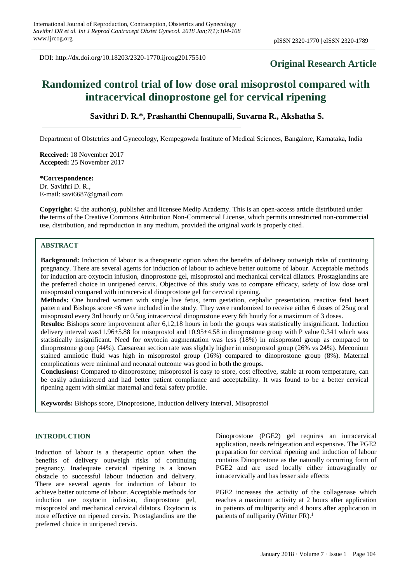DOI: http://dx.doi.org/10.18203/2320-1770.ijrcog20175510

## **Original Research Article**

# **Randomized control trial of low dose oral misoprostol compared with intracervical dinoprostone gel for cervical ripening**

## **Savithri D. R.\*, Prashanthi Chennupalli, Suvarna R., Akshatha S.**

Department of Obstetrics and Gynecology, Kempegowda Institute of Medical Sciences, Bangalore, Karnataka, India

**Received:** 18 November 2017 **Accepted:** 25 November 2017

## **\*Correspondence:**

Dr. Savithri D. R., E-mail: savi6687@gmail.com

**Copyright:** © the author(s), publisher and licensee Medip Academy. This is an open-access article distributed under the terms of the Creative Commons Attribution Non-Commercial License, which permits unrestricted non-commercial use, distribution, and reproduction in any medium, provided the original work is properly cited.

## **ABSTRACT**

**Background:** Induction of labour is a therapeutic option when the benefits of delivery outweigh risks of continuing pregnancy. There are several agents for induction of labour to achieve better outcome of labour. Acceptable methods for induction are oxytocin infusion, dinoprostone gel, misoprostol and mechanical cervical dilators. Prostaglandins are the preferred choice in unripened cervix. Objective of this study was to compare efficacy, safety of low dose oral misoprostol compared with intracervical dinoprostone gel for cervical ripening.

**Methods:** One hundred women with single live fetus, term gestation, cephalic presentation, reactive fetal heart pattern and Bishops score <6 were included in the study. They were randomized to receive either 6 doses of 25ug oral misoprostol every 3rd hourly or 0.5ug intracervical dinoprostone every 6th hourly for a maximum of 3 doses.

**Results:** Bishops score improvement after 6,12,18 hours in both the groups was statistically insignificant. Induction delivery interval was11.96 $\pm$ 5.88 for misoprostol and 10.95 $\pm$ 4.58 in dinoprostone group with P value 0.341 which was statistically insignificant. Need for oxytocin augmentation was less (18%) in misoprostol group as compared to dinoprostone group (44%). Caesarean section rate was slightly higher in misoprostol group (26% vs 24%). Meconium stained amniotic fluid was high in misoprostol group (16%) compared to dinoprostone group (8%). Maternal complications were minimal and neonatal outcome was good in both the groups.

**Conclusions:** Compared to dinoprostone; misoprostol is easy to store, cost effective, stable at room temperature, can be easily administered and had better patient compliance and acceptability. It was found to be a better cervical ripening agent with similar maternal and fetal safety profile.

**Keywords:** Bishops score, Dinoprostone, Induction delivery interval, Misoprostol

## **INTRODUCTION**

Induction of labour is a therapeutic option when the benefits of delivery outweigh risks of continuing pregnancy. Inadequate cervical ripening is a known obstacle to successful labour induction and delivery. There are several agents for induction of labour to achieve better outcome of labour. Acceptable methods for induction are oxytocin infusion, dinoprostone gel, misoprostol and mechanical cervical dilators. Oxytocin is more effective on ripened cervix. Prostaglandins are the preferred choice in unripened cervix.

Dinoprostone (PGE2) gel requires an intracervical application, needs refrigeration and expensive. The PGE2 preparation for cervical ripening and induction of labour contains Dinoprostone as the naturally occurring form of PGE2 and are used locally either intravaginally or intracervically and has lesser side effects

PGE2 increases the activity of the collagenase which reaches a maximum activity at 2 hours after application in patients of multiparity and 4 hours after application in patients of nulliparity (Witter FR). $<sup>1</sup>$ </sup>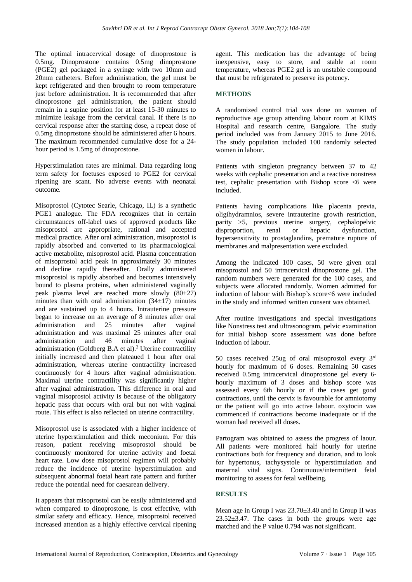The optimal intracervical dosage of dinoprostone is 0.5mg. Dinoprostone contains 0.5mg dinoprostone (PGE2) gel packaged in a syringe with two 10mm and 20mm catheters. Before administration, the gel must be kept refrigerated and then brought to room temperature just before administration. It is recommended that after dinoprostone gel administration, the patient should remain in a supine position for at least 15-30 minutes to minimize leakage from the cervical canal. If there is no cervical response after the starting dose, a repeat dose of 0.5mg dinoprostone should be administered after 6 hours. The maximum recommended cumulative dose for a 24 hour period is 1.5mg of dinoprostone.

Hyperstimulation rates are minimal. Data regarding long term safety for foetuses exposed to PGE2 for cervical ripening are scant. No adverse events with neonatal outcome.

Misoprostol (Cytotec Searle, Chicago, IL) is a synthetic PGE1 analogue. The FDA recognizes that in certain circumstances off-label uses of approved products like misoprostol are appropriate, rational and accepted medical practice. After oral administration, misoprostol is rapidly absorbed and converted to its pharmacological active metabolite, misoprostol acid. Plasma concentration of misoprostol acid peak in approximately 30 minutes and decline rapidly thereafter. Orally administered misoprostol is rapidly absorbed and becomes intensively bound to plasma proteins, when administered vaginally peak plasma level are reached more slowly  $(80\pm 27)$ minutes than with oral administration  $(34\pm17)$  minutes and are sustained up to 4 hours. Intrauterine pressure began to increase on an average of 8 minutes after oral administration and 25 minutes after vaginal administration and was maximal 25 minutes after oral administration and 46 minutes after vaginal administration (Goldberg B.A et al).<sup>2</sup> Uterine contractility initially increased and then plateaued 1 hour after oral administration, whereas uterine contractility increased continuously for 4 hours after vaginal administration. Maximal uterine contractility was significantly higher after vaginal administration. This difference in oral and vaginal misoprostol activity is because of the obligatory hepatic pass that occurs with oral but not with vaginal route. This effect is also reflected on uterine contractility.

Misoprostol use is associated with a higher incidence of uterine hyperstimulation and thick meconium. For this reason, patient receiving misoprostol should be continuously monitored for uterine activity and foetal heart rate. Low dose misoprostol regimen will probably reduce the incidence of uterine hyperstimulation and subsequent abnormal foetal heart rate pattern and further reduce the potential need for caesarean delivery.

It appears that misoprostol can be easily administered and when compared to dinoprostone, is cost effective, with similar safety and efficacy. Hence, misoprostol received increased attention as a highly effective cervical ripening agent. This medication has the advantage of being inexpensive, easy to store, and stable at room temperature, whereas PGE2 gel is an unstable compound that must be refrigerated to preserve its potency.

## **METHODS**

A randomized control trial was done on women of reproductive age group attending labour room at KIMS Hospital and research centre, Bangalore. The study period included was from January 2015 to June 2016. The study population included 100 randomly selected women in labour.

Patients with singleton pregnancy between 37 to 42 weeks with cephalic presentation and a reactive nonstress test, cephalic presentation with Bishop score <6 were included.

Patients having complications like placenta previa, oligihydramnios, severe intrauterine growth restriction, parity >5, previous uterine surgery, cephalopelvic disproportion, renal or hepatic dysfunction, hypersensitivity to prostaglandins, premature rupture of membranes and malpresentation were excluded.

Among the indicated 100 cases, 50 were given oral misoprostol and 50 intracervical dinoprostone gel. The random numbers were generated for the 100 cases, and subjects were allocated randomly. Women admitted for induction of labour with Bishop's score<6 were included in the study and informed written consent was obtained.

After routine investigations and special investigations like Nonstress test and ultrasonogram, pelvic examination for initial bishop score assessment was done before induction of labour.

50 cases received 25ug of oral misoprostol every  $3<sup>rd</sup>$ hourly for maximum of 6 doses. Remaining 50 cases received 0.5mg intracervical dinoprostone gel every 6 hourly maximum of 3 doses and bishop score was assessed every 6th hourly or if the cases get good contractions, until the cervix is favourable for amniotomy or the patient will go into active labour. oxytocin was commenced if contractions become inadequate or if the woman had received all doses.

Partogram was obtained to assess the progress of laour. All patients were monitored half hourly for uterine contractions both for frequency and duration, and to look for hypertonus, tachysystole or hyperstimulation and maternal vital signs. Continuous/intermittent fetal monitoring to assess for fetal wellbeing.

## **RESULTS**

Mean age in Group I was 23.70±3.40 and in Group II was  $23.52\pm3.47$ . The cases in both the groups were age matched and the P value 0.794 was not significant.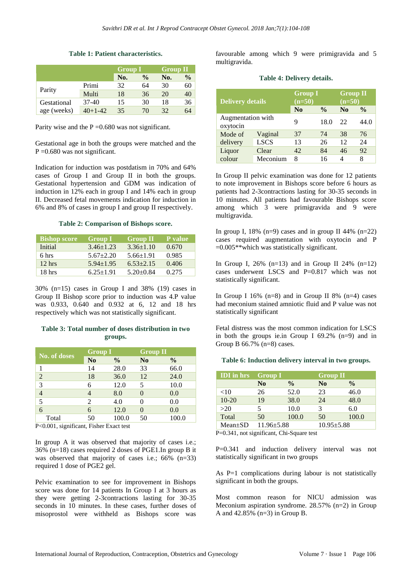|             |           | <b>Group I</b> |               | <b>Group II</b> |               |
|-------------|-----------|----------------|---------------|-----------------|---------------|
|             |           | No.            | $\frac{0}{0}$ | No.             | $\frac{0}{0}$ |
| Parity      | Primi     | 32             | 64            | 30              | 60            |
|             | Multi     | 18             | 36            | 20              | 40            |
| Gestational | $37-40$   | 15             | 30            | 18              | 36            |
| age (weeks) | $40+1-42$ | 35             | 70            | 32              | 64            |

#### **Table 1: Patient characteristics.**

Parity wise and the  $P = 0.680$  was not significant.

Gestational age in both the groups were matched and the  $P = 0.680$  was not significant.

Indication for induction was postdatism in 70% and 64% cases of Group I and Group II in both the groups. Gestational hypertension and GDM was indication of induction in 12% each in group I and 14% each in group II. Decreased fetal movements indication for induction in 6% and 8% of cases in group I and group II respectively.

#### **Table 2: Comparison of Bishops score.**

| <b>Bishop score</b> | <b>Group I</b>  | <b>Group II</b> | P value |
|---------------------|-----------------|-----------------|---------|
| Initial             | $3.46 \pm 1.23$ | $3.36 \pm 1.10$ | 0.670   |
| 6 hrs               | $5.67 + 2.20$   | $5.66 \pm 1.91$ | 0.985   |
| $12$ hrs            | $5.94 \pm 1.95$ | $6.53 + 2.15$   | 0.406   |
| 18 <sub>hrs</sub>   | $6.25 \pm 1.91$ | $5.20+0.84$     | 0.275   |

30% (n=15) cases in Group I and 38% (19) cases in Group II Bishop score prior to induction was 4.P value was 0.933, 0.640 and 0.932 at 6, 12 and 18 hrs respectively which was not statistically significant.

#### **Table 3: Total number of doses distribution in two groups.**

| <b>No. of doses</b> | <b>Group I</b> |               | <b>Group II</b> |               |
|---------------------|----------------|---------------|-----------------|---------------|
|                     | N <sub>0</sub> | $\frac{0}{0}$ | N <sub>0</sub>  | $\frac{0}{0}$ |
|                     | 14             | 28.0          | 33              | 66.0          |
| $\overline{2}$      | 18             | 36.0          | 12              | 24.0          |
| 3                   |                | 12.0          | 5               | 10.0          |
| $\overline{4}$      |                | 8.0           |                 | 0.0           |
| 5                   | 2              | 4.0           |                 | 0.0           |
| 6                   | 6              | 12.0          |                 | 0.0           |
| Total               | 50             | 100.0         | 50              | 100.0         |

P<0.001, significant, Fisher Exact test

In group A it was observed that majority of cases i.e.; 36% (n=18) cases required 2 doses of PGE1.In group B it was observed that majority of cases i.e.; 66% (n=33) required 1 dose of PGE2 gel.

Pelvic examination to see for improvement in Bishops score was done for 14 patients In Group I at 3 hours as they were getting 2-3contractions lasting for 30-35 seconds in 10 minutes. In these cases, further doses of misoprostol were withheld as Bishops score was

favourable among which 9 were primigravida and 5 multigravida.

#### **Table 4: Delivery details.**

| <b>Delivery details</b>       |             | <b>Group I</b><br>$(n=50)$ |               | <b>Group II</b><br>$(n=50)$ |               |
|-------------------------------|-------------|----------------------------|---------------|-----------------------------|---------------|
|                               |             | $\bf No$                   | $\frac{0}{0}$ | N <sub>0</sub>              | $\frac{0}{0}$ |
| Augmentation with<br>oxytocin |             | 9                          | 18.0          | 22                          | 44.0          |
| Mode of                       | Vaginal     | 37                         | 74            | 38                          | 76            |
| delivery                      | <b>LSCS</b> | 13                         | 26            | 12                          | 24            |
| Liquor                        | Clear       | 42                         | 84            | 46                          | 92            |
| colour                        | Meconium    | 8                          | 16            | $\overline{4}$              | 8             |

In Group II pelvic examination was done for 12 patients to note improvement in Bishops score before 6 hours as patients had 2-3contractions lasting for 30-35 seconds in 10 minutes. All patients had favourable Bishops score among which 3 were primigravida and 9 were multigravida.

In group I, 18% (n=9) cases and in group II 44% (n=22) cases required augmentation with oxytocin and P =0.005\*\*which was statistically significant.

In Group I,  $26\%$  (n=13) and in Group II 24% (n=12) cases underwent LSCS and P=0.817 which was not statistically significant.

In Group I 16%  $(n=8)$  and in Group II 8%  $(n=4)$  cases had meconium stained amniotic fluid and P value was not statistically significant

Fetal distress was the most common indication for LSCS in both the groups ie.in Group I  $69.2\%$  (n=9) and in Group B 66.7% (n=8) cases.

#### **Table 6: Induction delivery interval in two groups.**

| <b>IDI</b> in hrs | <b>Group I</b>   |               | <b>Group II</b>  |       |
|-------------------|------------------|---------------|------------------|-------|
|                   | N <sub>0</sub>   | $\frac{0}{0}$ | N <sub>0</sub>   | $\%$  |
| $<$ 10            | 26               | 52.0          | 23               | 46.0  |
| $10 - 20$         | 19               | 38.0          | 24               | 48.0  |
| >20               | 5                | 10.0          | 3                | 6.0   |
| Total             | 50               | 100.0         | 50               | 100.0 |
| $Mean \pm SD$     | $11.96 \pm 5.88$ |               | $10.95 \pm 5.88$ |       |

P=0.341, not significant, Chi-Square test

P=0.341 and induction delivery interval was not statistically significant in two groups

As P=1 complications during labour is not statistically significant in both the groups.

Most common reason for NICU admission was Meconium aspiration syndrome. 28.57% (n=2) in Group A and 42.85% (n=3) in Group B.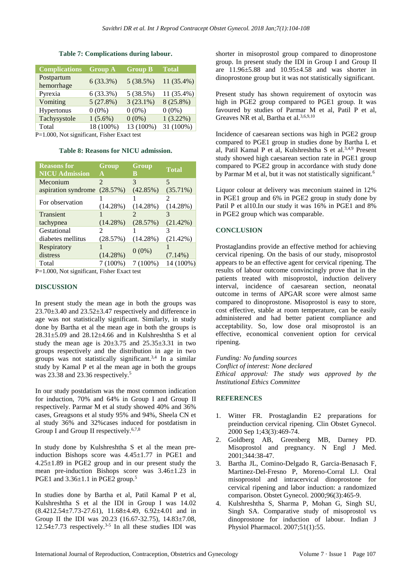| <b>Complications</b>     | <b>Group A</b> | <b>Group B</b> | <b>Total</b> |
|--------------------------|----------------|----------------|--------------|
| Postpartum<br>hemorrhage | 6(33.3%)       | 5(38.5%)       | 11 (35.4%)   |
| Pyrexia                  | 6(33.3%)       | 5(38.5%)       | 11 (35.4%)   |
| Vomiting                 | 5(27.8%)       | $3(23.1\%)$    | $8(25.8\%)$  |
| Hypertonus               | $0(0\%)$       | $0(0\%)$       | $0(0\%)$     |
| Tachysystole             | $1(5.6\%)$     | $0(0\%)$       | $1(3.22\%)$  |
| Total                    | 18 (100%)      | 13 (100%)      | 31 (100%)    |

## **Table 7: Complications during labour.**

P=1.000, Not significant, Fisher Exact test

**Table 8: Reasons for NICU admission.**

| Group<br>A                  | Group<br>B | <b>Total</b>             |
|-----------------------------|------------|--------------------------|
| $\mathcal{D}_{\mathcal{L}}$ | 3          | $\overline{\phantom{1}}$ |
| (28.57%)                    | (42.85%)   | $(35.71\%)$              |
|                             |            | 2                        |
| (14.28%)                    | (14.28%)   | (14.28%)                 |
|                             | 7          |                          |
| $(14.28\%)$                 | (28.57%)   | $(21.42\%)$              |
| $\mathcal{D}_{\mathcal{L}}$ |            |                          |
| (28.57%)                    | (14.28%)   | (21.42%)                 |
|                             |            |                          |
| $(14.28\%)$                 |            | $(7.14\%)$               |
| $7(100\%)$                  | $7(100\%)$ | 14 (100%)                |
|                             |            | $0(0\%)$                 |

P=1.000, Not significant, Fisher Exact test

## **DISCUSSION**

In present study the mean age in both the groups was  $23.70\pm3.40$  and  $23.52\pm3.47$  respectively and difference in age was not statistically significant. Similarly, in study done by Bartha et al the mean age in both the groups is  $28.31\pm5.09$  and  $28.12\pm4.66$  and in Kulshreshtha S et al study the mean age is  $20\pm3.75$  and  $25.35\pm3.31$  in two groups respectively and the distribution in age in two groups was not statistically significant.3,4 In a similar study by Kamal P et al the mean age in both the groups was 23.38 and 23.36 respectively.<sup>5</sup>

In our study postdatism was the most common indication for induction, 70% and 64% in Group I and Group II respectively. Parmar M et al study showed 40% and 36% cases, Greagsons et al study 95% and 94%, Sheela CN et al study 36% and 32%cases induced for postdatism in Group I and Group II respectively.<sup>6,7,8</sup>

In study done by Kulshreshtha S et al the mean preinduction Bishops score was 4.45±1.77 in PGE1 and 4.25±1.89 in PGE2 group and in our present study the mean pre-induction Bishops score was 3.46±1.23 in PGE1 and  $3.36\pm1.1$  in PGE2 group.<sup>5</sup>

In studies done by Bartha et al, Patil Kamal P et al, Kulshreshtha S et al the IDI in Group I was 14.02  $(8.4212.54\pm7.73-27.61), 11.68\pm4.49, 6.92\pm4.01$  and in Group II the IDI was 20.23 (16.67-32.75), 14.83±7.08,  $12.54 \pm 7.73$  respectively.<sup>3-5</sup> In all these studies IDI was

shorter in misoprostol group compared to dinoprostone group. In present study the IDI in Group I and Group II are 11.96±5.88 and 10.95±4.58 and was shorter in dinoprostone group but it was not statistically significant.

Present study has shown requirement of oxytocin was high in PGE2 group compared to PGE1 group. It was favoured by studies of Parmar M et al, Patil P et al, Greaves NR et al, Bartha et al.3,6,9,10

Incidence of caesarean sections was high in PGE2 group compared to PGE1 group in studies done by Bartha L et al, Patil Kamal P et al, Kulshreshtha S et al.3,4,9 Present study showed high caesarean section rate in PGE1 group compared to PGE2 group in accordance with study done by Parmar M et al, but it was not statistically significant.<sup>6</sup>

Liquor colour at delivery was meconium stained in 12% in PGE1 group and 6% in PGE2 group in study done by Patil P et al10.In our study it was 16% in PGE1 and 8% in PGE2 group which was comparable.

## **CONCLUSION**

Prostaglandins provide an effective method for achieving cervical ripening. On the basis of our study, misoprostol appears to be an effective agent for cervical ripening. The results of labour outcome convincingly prove that in the patients treated with misoprostol, induction delivery interval, incidence of caesarean section, neonatal outcome in terms of APGAR score were almost same compared to dinoprostone. Misoprostol is easy to store, cost effective, stable at room temperature, can be easily administered and had better patient compliance and acceptability. So, low dose oral misoprostol is an effective, economical convenient option for cervical ripening.

*Funding: No funding sources Conflict of interest: None declared Ethical approval: The study was approved by the Institutional Ethics Committee*

## **REFERENCES**

- 1. Witter FR. Prostaglandin E2 preparations for preinduction cervical ripening. Clin Obstet Gynecol. 2000 Sep 1;43(3):469-74.
- 2. Goldberg AB, Greenberg MB, Darney PD. Misoprostol and pregnancy. N Engl J Med. 2001;344:38-47.
- 3. Bartha JL, Comino-Delgado R, Garcia-Benasach F, Martinez-Del-Fresno P, Moreno-Corral LJ. Oral misoprostol and intracervical dinoprostone for cervical ripening and labor induction: a randomized comparison. Obstet Gynecol. 2000;96(3):465-9.
- 4. Kulshreshtha S, Sharma P, Mohan G, Singh SU, Singh SA. Comparative study of misoprostol vs dinoprostone for induction of labour. Indian J Physiol Pharmacol. 2007;51(1):55.